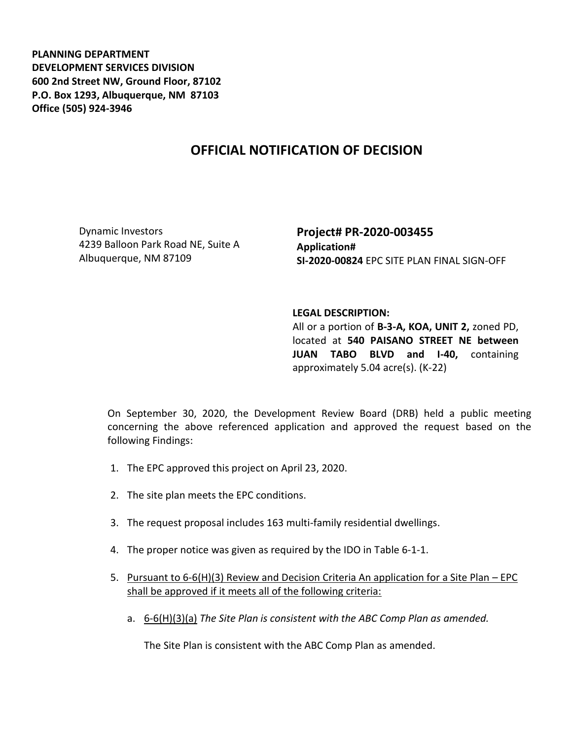**PLANNING DEPARTMENT DEVELOPMENT SERVICES DIVISION 600 2nd Street NW, Ground Floor, 87102 P.O. Box 1293, Albuquerque, NM 87103 Office (505) 924-3946** 

## **OFFICIAL NOTIFICATION OF DECISION**

Dynamic Investors 4239 Balloon Park Road NE, Suite A Albuquerque, NM 87109

**Project# PR-2020-003455 Application# SI-2020-00824** EPC SITE PLAN FINAL SIGN-OFF

## **LEGAL DESCRIPTION:**

All or a portion of **B-3-A, KOA, UNIT 2,** zoned PD, located at **540 PAISANO STREET NE between JUAN TABO BLVD and I-40,** containing approximately 5.04 acre(s). (K-22)

On September 30, 2020, the Development Review Board (DRB) held a public meeting concerning the above referenced application and approved the request based on the following Findings:

- 1. The EPC approved this project on April 23, 2020.
- 2. The site plan meets the EPC conditions.
- 3. The request proposal includes 163 multi-family residential dwellings.
- 4. The proper notice was given as required by the IDO in Table 6-1-1.
- 5. Pursuant to 6-6(H)(3) Review and Decision Criteria An application for a Site Plan EPC shall be approved if it meets all of the following criteria:
	- a. 6-6(H)(3)(a) *The Site Plan is consistent with the ABC Comp Plan as amended.*

The Site Plan is consistent with the ABC Comp Plan as amended.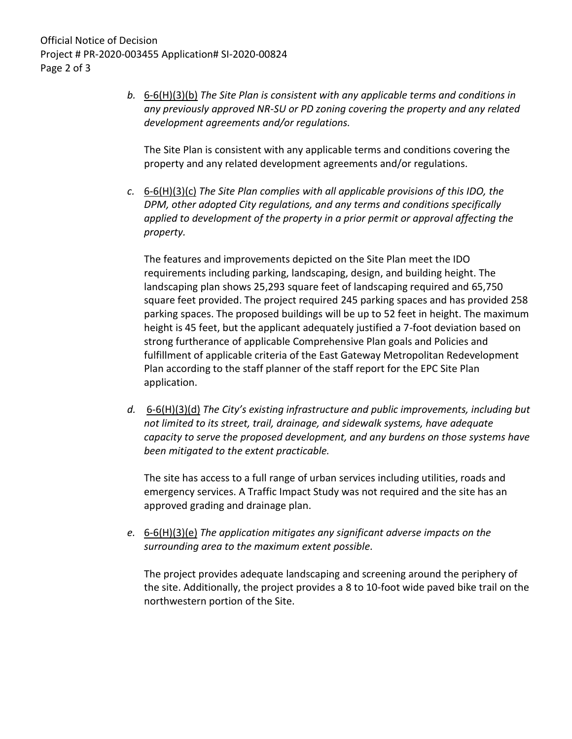*b.* 6-6(H)(3)(b) *The Site Plan is consistent with any applicable terms and conditions in any previously approved NR-SU or PD zoning covering the property and any related development agreements and/or regulations.* 

The Site Plan is consistent with any applicable terms and conditions covering the property and any related development agreements and/or regulations.

*c.* 6-6(H)(3)(c) *The Site Plan complies with all applicable provisions of this IDO, the DPM, other adopted City regulations, and any terms and conditions specifically applied to development of the property in a prior permit or approval affecting the property.* 

The features and improvements depicted on the Site Plan meet the IDO requirements including parking, landscaping, design, and building height. The landscaping plan shows 25,293 square feet of landscaping required and 65,750 square feet provided. The project required 245 parking spaces and has provided 258 parking spaces. The proposed buildings will be up to 52 feet in height. The maximum height is 45 feet, but the applicant adequately justified a 7-foot deviation based on strong furtherance of applicable Comprehensive Plan goals and Policies and fulfillment of applicable criteria of the East Gateway Metropolitan Redevelopment Plan according to the staff planner of the staff report for the EPC Site Plan application.

*d.* 6-6(H)(3)(d) *The City's existing infrastructure and public improvements, including but not limited to its street, trail, drainage, and sidewalk systems, have adequate capacity to serve the proposed development, and any burdens on those systems have been mitigated to the extent practicable.* 

The site has access to a full range of urban services including utilities, roads and emergency services. A Traffic Impact Study was not required and the site has an approved grading and drainage plan.

*e.* 6-6(H)(3)(e) *The application mitigates any significant adverse impacts on the surrounding area to the maximum extent possible.* 

The project provides adequate landscaping and screening around the periphery of the site. Additionally, the project provides a 8 to 10-foot wide paved bike trail on the northwestern portion of the Site.